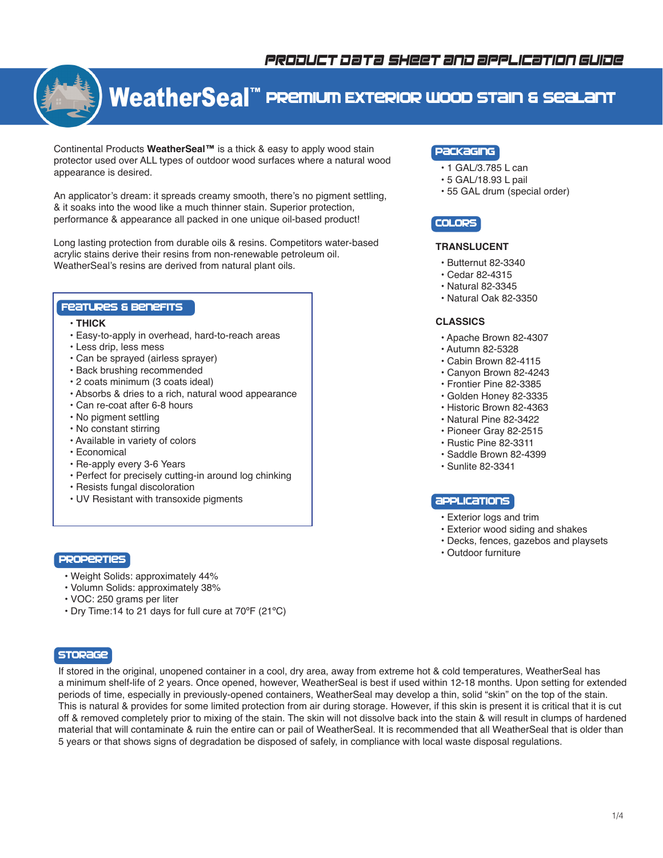# *product data sheet and application guide*



# **WeatherSeal™ Premium Exterior wood stain & sealant**

Continental Products **WeatherSeal™** is a thick & easy to apply wood stain protector used over ALL types of outdoor wood surfaces where a natural wood appearance is desired.

An applicator's dream: it spreads creamy smooth, there's no pigment settling, & it soaks into the wood like a much thinner stain. Superior protection, performance & appearance all packed in one unique oil-based product!

Long lasting protection from durable oils & resins. Competitors water-based acrylic stains derive their resins from non-renewable petroleum oil. WeatherSeal's resins are derived from natural plant oils.

# Features & Benefits

- **THICK**
- Easy-to-apply in overhead, hard-to-reach areas
- Less drip, less mess
- Can be sprayed (airless sprayer)
- Back brushing recommended
- 2 coats minimum (3 coats ideal)
- Absorbs & dries to a rich, natural wood appearance
- Can re-coat after 6-8 hours
- No pigment settling
- No constant stirring
- Available in variety of colors
- Economical
- Re-apply every 3-6 Years
- Perfect for precisely cutting-in around log chinking
- Resists fungal discoloration
- UV Resistant with transoxide pigments

# **PROPERTIES**

- Weight Solids: approximately 44%
- Volumn Solids:
approximately 38%
- VOC: 250 grams per liter
- Dry Time:14 to 21 days for full cure at 70ºF (21ºC)

# **STORAGE**

If stored in the original, unopened container in a cool, dry area, away from extreme hot & cold temperatures, WeatherSeal has a minimum shelf-life of 2 years. Once opened, however, WeatherSeal is best if used within 12-18 months. Upon setting for extended periods of time, especially in previously-opened containers, WeatherSeal may develop a thin, solid "skin" on the top of the stain. This is natural & provides for some limited protection from air during storage. However, if this skin is present it is critical that it is cut off & removed completely prior to mixing of the stain. The skin will not dissolve back into the stain & will result in clumps of hardened material that will contaminate & ruin the entire can or pail of WeatherSeal. It is recommended that all WeatherSeal that is older than 5 years or that shows signs of degradation be disposed of safely, in compliance with local waste disposal regulations.

# Packaging

- 1 GAL/3.785 L can
- 5 GAL/18.93 L pail
- 55 GAL drum (special order)

# Colors

# **TRANSLUCENT**

- Butternut 82-3340
- Cedar 82-4315
- Natural 82-3345
- Natural Oak 82-3350

# **CLASSICS**

- Apache Brown 82-4307
- Autumn 82-5328
- Cabin Brown 82-4115
- Canyon Brown 82-4243
- Frontier Pine 82-3385
- Golden Honey 82-3335
- Historic Brown 82-4363
- Natural Pine 82-3422
- Pioneer Gray 82-2515 • Rustic Pine 82-3311
- Saddle Brown 82-4399
- Sunlite 82-3341

# **appLications**

- Exterior logs and trim
- Exterior wood siding and shakes
- Decks, fences, gazebos and playsets
- Outdoor furniture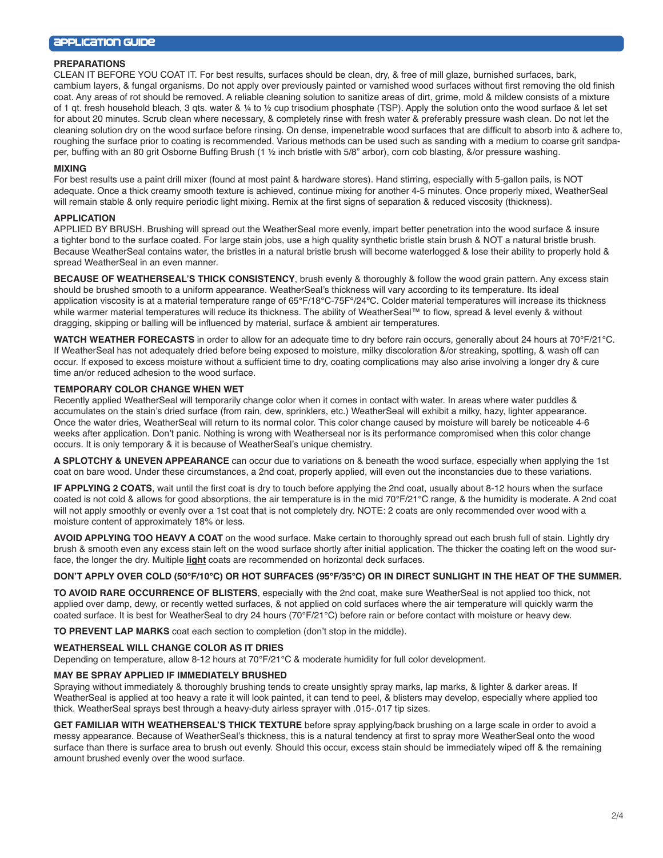#### **PREPARATIONS**

CLEAN IT BEFORE YOU COAT IT. For best results, surfaces should be clean, dry, & free of mill glaze, burnished surfaces, bark, cambium layers, & fungal organisms. Do not apply over previously painted or varnished wood surfaces without first removing the old finish coat. Any areas of rot should be removed. A reliable cleaning solution to sanitize areas of dirt, grime, mold & mildew consists of a mixture of 1 qt. fresh household bleach, 3 qts. water & ¼ to ½ cup trisodium phosphate (TSP). Apply the solution onto the wood surface & let set for about 20 minutes. Scrub clean where necessary, & completely rinse with fresh water & preferably pressure wash clean. Do not let the cleaning solution dry on the wood surface before rinsing. On dense, impenetrable wood surfaces that are difficult to absorb into & adhere to, roughing the surface prior to coating is recommended. Various methods can be used such as sanding with a medium to coarse grit sandpaper, buffing with an 80 grit Osborne Buffing Brush (1 ½ inch bristle with 5/8" arbor), corn cob blasting, &/or pressure washing.

#### **MIXING**

For best results use a paint drill mixer (found at most paint & hardware stores). Hand stirring, especially with 5-gallon pails, is NOT adequate. Once a thick creamy smooth texture is achieved, continue mixing for another 4-5 minutes. Once properly mixed, WeatherSeal will remain stable & only require periodic light mixing. Remix at the first signs of separation & reduced viscosity (thickness).

# **APPLICATION**

APPLIED BY BRUSH. Brushing will spread out the WeatherSeal more evenly, impart better penetration into the wood surface & insure a tighter bond to the surface coated. For large stain jobs, use a high quality synthetic bristle stain brush & NOT a natural bristle brush. Because WeatherSeal contains water, the bristles in a natural bristle brush will become waterlogged & lose their ability to properly hold & spread WeatherSeal in an even manner.

**BECAUSE OF WEATHERSEAL'S THICK CONSISTENCY**, brush evenly & thoroughly & follow the wood grain pattern. Any excess stain should be brushed smooth to a uniform appearance. WeatherSeal's thickness will vary according to its temperature. Its ideal application viscosity is at a material temperature range of 65°F/18°C-75F°/24ºC. Colder material temperatures will increase its thickness while warmer material temperatures will reduce its thickness. The ability of WeatherSeal™ to flow, spread & level evenly & without dragging, skipping or balling will be influenced by material, surface & ambient air temperatures.

**WATCH WEATHER FORECASTS** in order to allow for an adequate time to dry before rain occurs, generally about 24 hours at 70°F/21°C. If WeatherSeal has not adequately dried before being exposed to moisture, milky discoloration &/or streaking, spotting, & wash off can occur. If exposed to excess moisture without a sufficient time to dry, coating complications may also arise involving a longer dry & cure time an/or reduced adhesion to the wood surface.

#### **TEMPORARY COLOR CHANGE WHEN WET**

Recently applied WeatherSeal will temporarily change color when it comes in contact with water. In areas where water puddles & accumulates on the stain's dried surface (from rain, dew, sprinklers, etc.) WeatherSeal will exhibit a milky, hazy, lighter appearance. Once the water dries, WeatherSeal will return to its normal color. This color change caused by moisture will barely be noticeable 4-6 weeks after application. Don't panic. Nothing is wrong with Weatherseal nor is its performance compromised when this color change occurs. It is only temporary & it is because of WeatherSeal's unique chemistry.

**A SPLOTCHY & UNEVEN APPEARANCE** can occur due to variations on & beneath the wood surface, especially when applying the 1st coat on bare wood. Under these circumstances, a 2nd coat, properly applied, will even out the inconstancies due to these variations.

**IF APPLYING 2 COATS**, wait until the first coat is dry to touch before applying the 2nd coat, usually about 8-12 hours when the surface coated is not cold & allows for good absorptions, the air temperature is in the mid 70°F/21°C range, & the humidity is moderate. A 2nd coat will not apply smoothly or evenly over a 1st coat that is not completely dry. NOTE: 2 coats are only recommended over wood with a moisture content of approximately 18% or less.

**AVOID APPLYING TOO HEAVY A COAT** on the wood surface. Make certain to thoroughly spread out each brush full of stain. Lightly dry brush & smooth even any excess stain left on the wood surface shortly after initial application. The thicker the coating left on the wood surface, the longer the dry. Multiple **light** coats are recommended on horizontal deck surfaces.

## **DON'T APPLY OVER COLD (50°F/10°C) OR HOT SURFACES (95°F/35°C) OR IN DIRECT SUNLIGHT IN THE HEAT OF THE SUMMER.**

**TO AVOID RARE OCCURRENCE OF BLISTERS**, especially with the 2nd coat, make sure WeatherSeal is not applied too thick, not applied over damp, dewy, or recently wetted surfaces, & not applied on cold surfaces where the air temperature will quickly warm the coated surface. It is best for WeatherSeal to dry 24 hours (70°F/21°C) before rain or before contact with moisture or heavy dew.

**TO PREVENT LAP MARKS** coat each section to completion (don't stop in the middle).

#### **WEATHERSEAL WILL CHANGE COLOR AS IT DRIES**

Depending on temperature, allow 8-12 hours at 70°F/21°C & moderate humidity for full color development.

#### **MAY BE SPRAY APPLIED IF IMMEDIATELY BRUSHED**

Spraying without immediately & thoroughly brushing tends to create unsightly spray marks, lap marks, & lighter & darker areas. If WeatherSeal is applied at too heavy a rate it will look painted, it can tend to peel, & blisters may develop, especially where applied too thick. WeatherSeal sprays best through a heavy-duty airless sprayer with .015-.017 tip sizes.

**GET FAMILIAR WITH WEATHERSEAL'S THICK TEXTURE** before spray applying/back brushing on a large scale in order to avoid a messy appearance. Because of WeatherSeal's thickness, this is a natural tendency at first to spray more WeatherSeal onto the wood surface than there is surface area to brush out evenly. Should this occur, excess stain should be immediately wiped off & the remaining amount brushed evenly over the wood surface.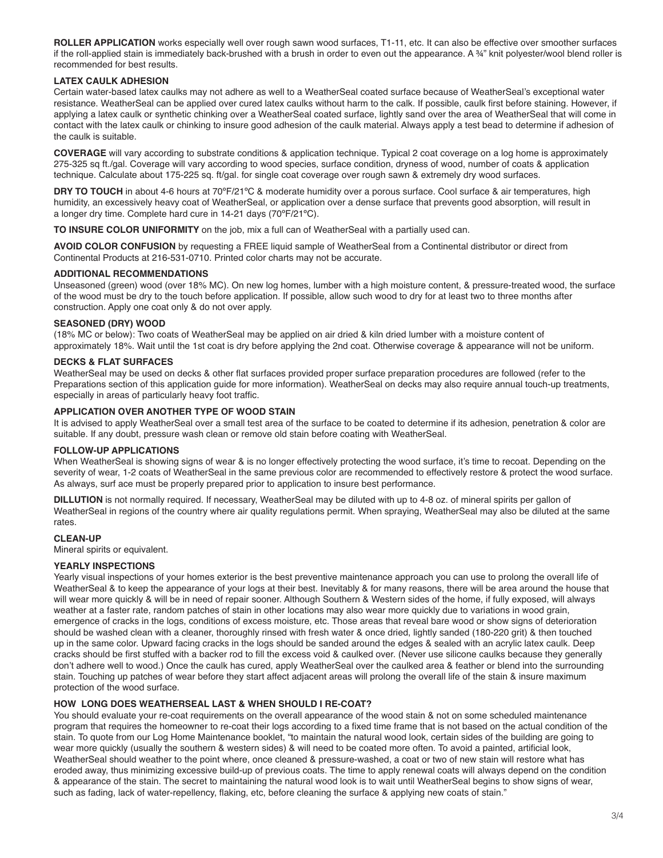**ROLLER APPLICATION** works especially well over rough sawn wood surfaces, T1-11, etc. It can also be effective over smoother surfaces if the roll-applied stain is immediately back-brushed with a brush in order to even out the appearance. A ¾" knit polyester/wool blend roller is recommended for best results.

# **LATEX CAULK ADHESION**

Certain water-based latex caulks may not adhere as well to a WeatherSeal coated surface because of WeatherSeal's exceptional water resistance. WeatherSeal can be applied over cured latex caulks without harm to the calk. If possible, caulk first before staining. However, if applying a latex caulk or synthetic chinking over a WeatherSeal coated surface, lightly sand over the area of WeatherSeal that will come in contact with the latex caulk or chinking to insure good adhesion of the caulk material. Always apply a test bead to determine if adhesion of the caulk is suitable.

**COVERAGE** will vary according to substrate conditions & application technique. Typical 2 coat coverage on a log home is approximately 275-325 sq ft./gal. Coverage will vary according to wood species, surface condition, dryness of wood, number of coats & application technique. Calculate about 175-225 sq. ft/gal. for single coat coverage over rough sawn & extremely dry wood surfaces.

**DRY TO TOUCH** in about 4-6 hours at 70°F/21°C & moderate humidity over a porous surface. Cool surface & air temperatures, high humidity, an excessively heavy coat of WeatherSeal, or application over a dense surface that prevents good absorption, will result in a longer dry time. Complete hard cure in 14-21 days (70ºF/21ºC).

**TO INSURE COLOR UNIFORMITY** on the job, mix a full can of WeatherSeal with a partially used can.

**AVOID COLOR CONFUSION** by requesting a FREE liquid sample of WeatherSeal from a Continental distributor or direct from Continental Products at 216-531-0710. Printed color charts may not be accurate.

## **ADDITIONAL RECOMMENDATIONS**

Unseasoned (green) wood (over 18% MC). On new log homes, lumber with a high moisture content, & pressure-treated wood, the surface of the wood must be dry to the touch before application. If possible, allow such wood to dry for at least two to three months after construction. Apply one coat only & do not over apply.

## **SEASONED (DRY) WOOD**

(18% MC or below): Two coats of WeatherSeal may be applied on air dried & kiln dried lumber with a moisture content of approximately 18%. Wait until the 1st coat is dry before applying the 2nd coat. Otherwise coverage & appearance will not be uniform.

## **DECKS & FLAT SURFACES**

WeatherSeal may be used on decks & other flat surfaces provided proper surface preparation procedures are followed (refer to the Preparations section of this application guide for more information). WeatherSeal on decks may also require annual touch-up treatments, especially in areas of particularly heavy foot traffic.

## **APPLICATION OVER ANOTHER TYPE OF WOOD STAIN**

It is advised to apply WeatherSeal over a small test area of the surface to be coated to determine if its adhesion, penetration & color are suitable. If any doubt, pressure wash clean or remove old stain before coating with WeatherSeal.

# **FOLLOW-UP APPLICATIONS**

When WeatherSeal is showing signs of wear & is no longer effectively protecting the wood surface, it's time to recoat. Depending on the severity of wear, 1-2 coats of WeatherSeal in the same previous color are recommended to effectively restore & protect the wood surface. As always, surf ace must be properly prepared prior to application to insure best performance.

**DILLUTION** is not normally required. If necessary, WeatherSeal may be diluted with up to 4-8 oz. of mineral spirits per gallon of WeatherSeal in regions of the country where air quality regulations permit. When spraying, WeatherSeal may also be diluted at the same rates.

#### **CLEAN-UP**

Mineral spirits or equivalent.

# **YEARLY INSPECTIONS**

Yearly visual inspections of your homes exterior is the best preventive maintenance approach you can use to prolong the overall life of WeatherSeal & to keep the appearance of your logs at their best. Inevitably & for many reasons, there will be area around the house that will wear more quickly & will be in need of repair sooner. Although Southern & Western sides of the home, if fully exposed, will always weather at a faster rate, random patches of stain in other locations may also wear more quickly due to variations in wood grain, emergence of cracks in the logs, conditions of excess moisture, etc. Those areas that reveal bare wood or show signs of deterioration should be washed clean with a cleaner, thoroughly rinsed with fresh water & once dried, lightly sanded (180-220 grit) & then touched up in the same color. Upward facing cracks in the logs should be sanded around the edges & sealed with an acrylic latex caulk. Deep cracks should be first stuffed with a backer rod to fill the excess void & caulked over. (Never use silicone caulks because they generally don't adhere well to wood.) Once the caulk has cured, apply WeatherSeal over the caulked area & feather or blend into the surrounding stain. Touching up patches of wear before they start affect adjacent areas will prolong the overall life of the stain & insure maximum protection of the wood surface.

## **HOW LONG DOES WEATHERSEAL LAST & WHEN SHOULD I RE-COAT?**

You should evaluate your re-coat requirements on the overall appearance of the wood stain & not on some scheduled maintenance program that requires the homeowner to re-coat their logs according to a fixed time frame that is not based on the actual condition of the stain. To quote from our Log Home Maintenance booklet, "to maintain the natural wood look, certain sides of the building are going to wear more quickly (usually the southern & western sides) & will need to be coated more often. To avoid a painted, artificial look, WeatherSeal should weather to the point where, once cleaned & pressure-washed, a coat or two of new stain will restore what has eroded away, thus minimizing excessive build-up of previous coats. The time to apply renewal coats will always depend on the condition & appearance of the stain. The secret to maintaining the natural wood look is to wait until WeatherSeal begins to show signs of wear, such as fading, lack of water-repellency, flaking, etc, before cleaning the surface & applying new coats of stain."